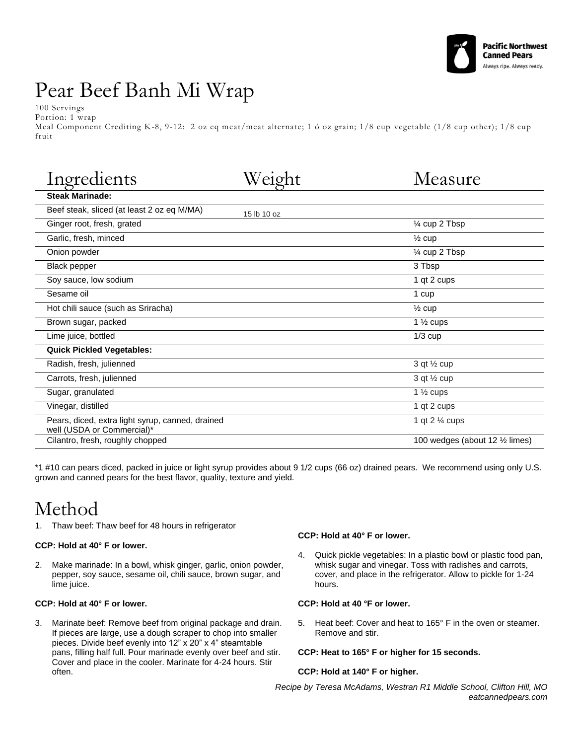

# Pear Beef Banh Mi Wrap

100 Servings

Portion: 1 wrap Meal Component Crediting K-8, 9-12: 2 oz eq meat/meat alternate; 1 ó oz grain; 1/8 cup vegetable (1/8 cup other); 1/8 cup fruit

| Ingredients                                                                    |             | Measure                         |
|--------------------------------------------------------------------------------|-------------|---------------------------------|
| <b>Steak Marinade:</b>                                                         |             |                                 |
| Beef steak, sliced (at least 2 oz eq M/MA)                                     | 15 lb 10 oz |                                 |
| Ginger root, fresh, grated                                                     |             | 1⁄4 cup 2 Tbsp                  |
| Garlic, fresh, minced                                                          |             | $\frac{1}{2}$ cup               |
| Onion powder                                                                   |             | 1⁄4 cup 2 Tbsp                  |
| Black pepper                                                                   |             | 3 Tbsp                          |
| Soy sauce, low sodium                                                          |             | 1 qt 2 cups                     |
| Sesame oil                                                                     |             | 1 cup                           |
| Hot chili sauce (such as Sriracha)                                             |             | $\frac{1}{2}$ cup               |
| Brown sugar, packed                                                            |             | 1 $\frac{1}{2}$ cups            |
| Lime juice, bottled                                                            |             | $1/3$ cup                       |
| <b>Quick Pickled Vegetables:</b>                                               |             |                                 |
| Radish, fresh, julienned                                                       |             | 3 qt $\frac{1}{2}$ cup          |
| Carrots, fresh, julienned                                                      |             | 3 qt $\frac{1}{2}$ cup          |
| Sugar, granulated                                                              |             | 1 $\frac{1}{2}$ cups            |
| Vinegar, distilled                                                             |             | 1 qt 2 cups                     |
| Pears, diced, extra light syrup, canned, drained<br>well (USDA or Commercial)* |             | 1 qt 2 % cups                   |
| Cilantro, fresh, roughly chopped                                               |             | 100 wedges (about 12 1/2 limes) |

\*1 #10 can pears diced, packed in juice or light syrup provides about 9 1/2 cups (66 oz) drained pears. We recommend using only U.S. grown and canned pears for the best flavor, quality, texture and yield.

## Method

1. Thaw beef: Thaw beef for 48 hours in refrigerator

#### **CCP: Hold at 40° F or lower.**

2. Make marinade: In a bowl, whisk ginger, garlic, onion powder, pepper, soy sauce, sesame oil, chili sauce, brown sugar, and lime juice.

#### **CCP: Hold at 40° F or lower.**

3. Marinate beef: Remove beef from original package and drain. If pieces are large, use a dough scraper to chop into smaller pieces. Divide beef evenly into 12" x 20" x 4" steamtable pans, filling half full. Pour marinade evenly over beef and stir. Cover and place in the cooler. Marinate for 4-24 hours. Stir often.

#### **CCP: Hold at 40° F or lower.**

4. Quick pickle vegetables: In a plastic bowl or plastic food pan, whisk sugar and vinegar. Toss with radishes and carrots, cover, and place in the refrigerator. Allow to pickle for 1-24 hours.

#### **CCP: Hold at 40 °F or lower.**

5. Heat beef: Cover and heat to 165° F in the oven or steamer. Remove and stir.

#### **CCP: Heat to 165° F or higher for 15 seconds.**

#### **CCP: Hold at 140° F or higher.**

*Recipe by Teresa McAdams, Westran R1 Middle School, Clifton Hill, MO eatcannedpears.com*